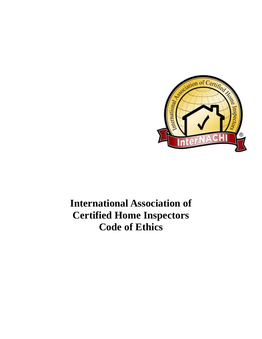

## **International Association of Certified Home Inspectors Code of Ethics**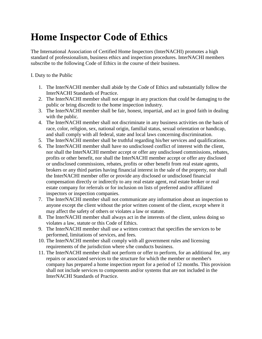## **Home Inspector Code of Ethics**

The International Association of Certified Home Inspectors (InterNACHI) promotes a high standard of professionalism, business ethics and inspection procedures. InterNACHI members subscribe to the following Code of Ethics in the course of their business.

I. Duty to the Public

- 1. The InterNACHI member shall abide by the Code of Ethics and substantially follow the InterNACHI Standards of Practice.
- 2. The InterNACHI member shall not engage in any practices that could be damaging to the public or bring discredit to the home inspection industry.
- 3. The InterNACHI member shall be fair, honest, impartial, and act in good faith in dealing with the public.
- 4. The InterNACHI member shall not discriminate in any business activities on the basis of race, color, religion, sex, national origin, familial status, sexual orientation or handicap, and shall comply with all federal, state and local laws concerning discrimination.
- 5. The InterNACHI member shall be truthful regarding his/her services and qualifications.
- 6. The InterNACHI member shall have no undisclosed conflict of interest with the client, nor shall the InterNACHI member accept or offer any undisclosed commissions, rebates, profits or other benefit, nor shall the InterNACHI member accept or offer any disclosed or undisclosed commissions, rebates, profits or other benefit from real estate agents, brokers or any third parties having financial interest in the sale of the property, nor shall the InterNACHI member offer or provide any disclosed or undisclosed financial compensation directly or indirectly to any real estate agent, real estate broker or real estate company for referrals or for inclusion on lists of preferred and/or affiliated inspectors or inspection companies.
- 7. The InterNACHI member shall not communicate any information about an inspection to anyone except the client without the prior written consent of the client, except where it may affect the safety of others or violates a law or statute.
- 8. The InterNACHI member shall always act in the interests of the client, unless doing so violates a law, statute or this Code of Ethics.
- 9. The InterNACHI member shall use a written contract that specifies the services to be performed, limitations of services, and fees.
- 10. The InterNACHI member shall comply with all government rules and licensing requirements of the jurisdiction where s/he conducts business.
- 11. The InterNACHI member shall not perform or offer to perform, for an additional fee, any repairs or associated services to the structure for which the member or member's company has prepared a home inspection report for a period of 12 months. This provision shall not include services to components and/or systems that are not included in the InterNACHI Standards of Practice.